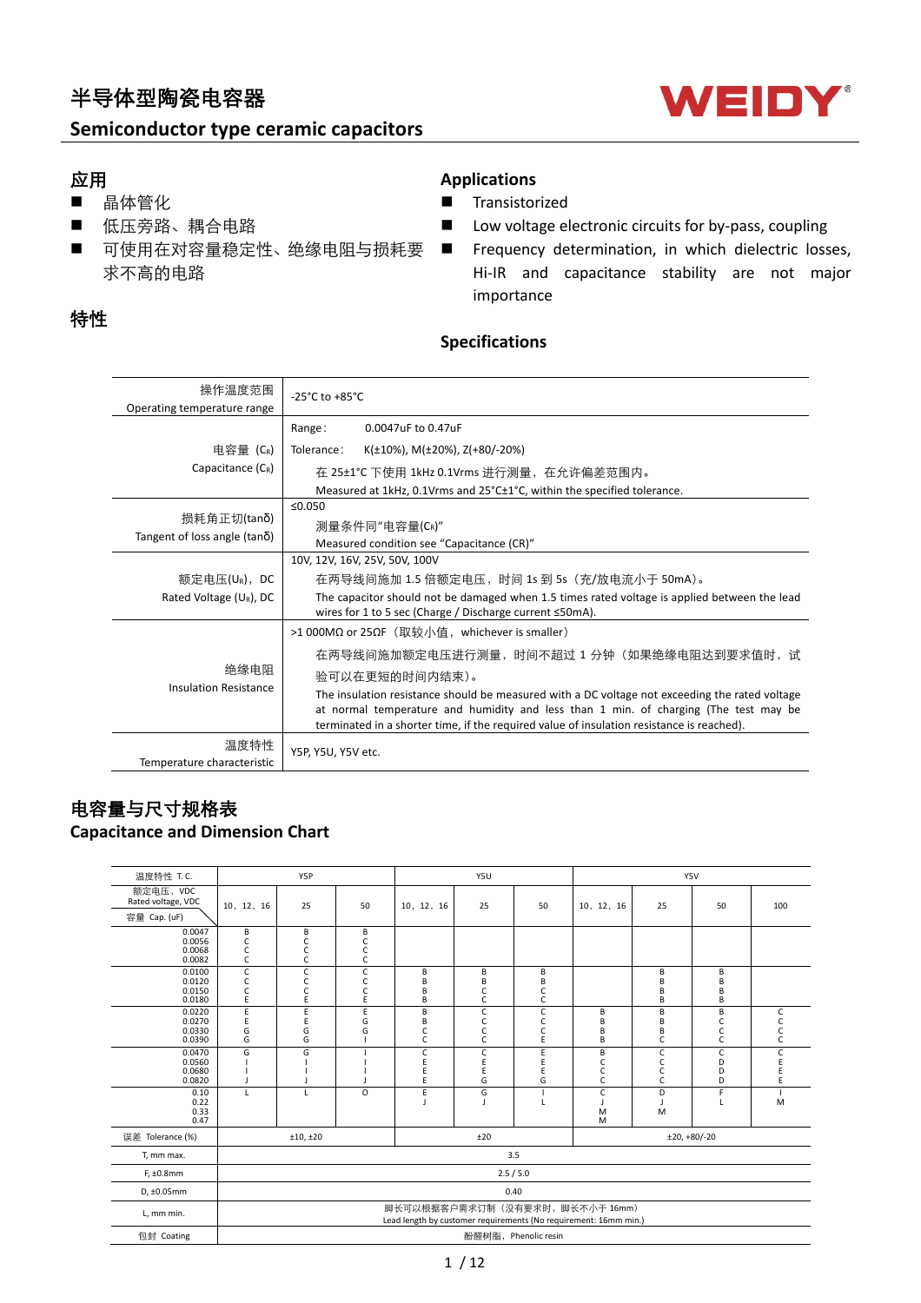# 半导体型陶瓷电容器

## **Semiconductor type ceramic capacitors**

## 应用

- 晶体管化
- 低压旁路、耦合电路
- 可使用在对容量稳定性、绝缘电阻与损耗要 求不高的电路

## **Applications**

- **n** Transistorized
- Low voltage electronic circuits for by-pass, coupling
- **n** Frequency determination, in which dielectric losses, Hi-IR and capacitance stability are not major importance

#### **Specifications**

| 操作温度范围                               | $-25^{\circ}$ C to $+85^{\circ}$ C                                                             |  |  |  |  |  |  |  |  |
|--------------------------------------|------------------------------------------------------------------------------------------------|--|--|--|--|--|--|--|--|
| Operating temperature range          |                                                                                                |  |  |  |  |  |  |  |  |
|                                      | 0.0047uF to 0.47uF<br>Range:                                                                   |  |  |  |  |  |  |  |  |
| 电容量 (C <sub>R</sub> )                | K( $\pm$ 10%), M( $\pm$ 20%), Z(+80/-20%)<br>Tolerance:                                        |  |  |  |  |  |  |  |  |
| Capacitance $(C_R)$                  | 在 25±1℃ 下使用 1kHz 0.1Vrms 进行测量, 在允许偏差范围内。                                                       |  |  |  |  |  |  |  |  |
|                                      | Measured at 1kHz, 0.1Vrms and 25°C±1°C, within the specified tolerance.                        |  |  |  |  |  |  |  |  |
|                                      | ≤0.050                                                                                         |  |  |  |  |  |  |  |  |
| 损耗角正切(tanδ)                          | 测量条件同"电容量(CR)"                                                                                 |  |  |  |  |  |  |  |  |
| Tangent of loss angle (tanδ)         | Measured condition see "Capacitance (CR)"                                                      |  |  |  |  |  |  |  |  |
|                                      | 10V, 12V, 16V, 25V, 50V, 100V                                                                  |  |  |  |  |  |  |  |  |
| 额定电压(UR),DC                          | 在两导线间施加 1.5 倍额定电压, 时间 1s 到 5s (充/放电流小于 50mA)。                                                  |  |  |  |  |  |  |  |  |
| Rated Voltage $(U_R)$ , DC           | The capacitor should not be damaged when 1.5 times rated voltage is applied between the lead   |  |  |  |  |  |  |  |  |
|                                      | wires for 1 to 5 sec (Charge / Discharge current ≤50mA).                                       |  |  |  |  |  |  |  |  |
|                                      | >1 000MΩ or 25ΩF(取较小值,whichever is smaller)                                                    |  |  |  |  |  |  |  |  |
| 绝缘电阻<br><b>Insulation Resistance</b> | 在两导线间施加额定电压进行测量,时间不超过 1 分钟(如果绝缘电阻达到要求值时,试                                                      |  |  |  |  |  |  |  |  |
|                                      | 验可以在更短的时间内结束)。                                                                                 |  |  |  |  |  |  |  |  |
|                                      | The insulation resistance should be measured with a DC voltage not exceeding the rated voltage |  |  |  |  |  |  |  |  |
|                                      | at normal temperature and humidity and less than 1 min. of charging (The test may be           |  |  |  |  |  |  |  |  |
|                                      | terminated in a shorter time, if the required value of insulation resistance is reached).      |  |  |  |  |  |  |  |  |
| 温度特性                                 | Y5P. Y5U. Y5V etc.                                                                             |  |  |  |  |  |  |  |  |
| Temperature characteristic           |                                                                                                |  |  |  |  |  |  |  |  |

## 电容量与尺寸规格表 **Capacitance and Dimension Chart**

| 温度特性 T.C.                                       |                      | Y5P                                                                                                 |                  |                  | Y5U              |                                        | Y5V                         |                  |                  |                            |  |  |  |
|-------------------------------------------------|----------------------|-----------------------------------------------------------------------------------------------------|------------------|------------------|------------------|----------------------------------------|-----------------------------|------------------|------------------|----------------------------|--|--|--|
| 额定电压, VDC<br>Rated voltage, VDC<br>容量 Cap. (uF) | 10, 12, 16           | 25<br>50                                                                                            |                  | 10, 12, 16       | 25               | 50                                     | 10, 12, 16                  | 25               | 50               | 100                        |  |  |  |
| 0.0047<br>0.0056<br>0.0068<br>0.0082            | В<br>C<br>С<br>C     | В<br>C<br>C<br>C                                                                                    | В<br>C<br>C<br>C |                  |                  |                                        |                             |                  |                  |                            |  |  |  |
| 0.0100<br>0.0120<br>0.0150<br>0.0180            | С<br>С<br>C<br>E     | С<br>C<br>C<br>E                                                                                    | C<br>C<br>C<br>E | В<br>B<br>B<br>B | В<br>B<br>C<br>C | В<br>B<br>C<br>$\mathsf{C}$            |                             | В<br>B<br>B<br>B | В<br>B<br>B<br>B |                            |  |  |  |
| 0.0220<br>0.0270<br>0.0330<br>0.0390            | E<br>E<br>G<br>G     | E<br>Ē<br>G<br>G                                                                                    | E<br>G<br>G      | B<br>B<br>C<br>C | C<br>C<br>C<br>C | C<br>$\mathsf{C}$<br>$\mathsf{C}$<br>E | В<br>B<br>В<br>B            | B<br>B<br>B<br>C | B<br>C<br>C<br>C | $\mathsf C$<br>C<br>c<br>c |  |  |  |
| 0.0470<br>0.0560<br>0.0680<br>0.0820            | G                    | G                                                                                                   |                  | C<br>E<br>E<br>E | C<br>Ε<br>Ε<br>G | Ε<br>E<br>E<br>G                       | B<br>C<br>C<br>C            | C<br>C<br>C<br>C | C<br>D<br>D<br>D | C<br>E<br>Ė                |  |  |  |
| 0.10<br>0.22<br>0.33<br>0.47                    | L                    |                                                                                                     | $\Omega$         | E                | G                |                                        | $\mathsf{C}$<br>J<br>M<br>M | D<br>M           | F                | M                          |  |  |  |
| 误差 Tolerance (%)                                |                      | ±10, ±20                                                                                            |                  | $±20, +80/-20$   |                  |                                        |                             |                  |                  |                            |  |  |  |
| T, mm max.                                      | 3.5                  |                                                                                                     |                  |                  |                  |                                        |                             |                  |                  |                            |  |  |  |
| $F, \pm 0.8$ mm                                 | 2.5/5.0              |                                                                                                     |                  |                  |                  |                                        |                             |                  |                  |                            |  |  |  |
| $D, \pm 0.05$ mm                                |                      |                                                                                                     |                  |                  |                  | 0.40                                   |                             |                  |                  |                            |  |  |  |
| L, mm min.                                      |                      | 脚长可以根据客户需求订制(没有要求时, 脚长不小于 16mm)<br>Lead length by customer requirements (No requirement: 16mm min.) |                  |                  |                  |                                        |                             |                  |                  |                            |  |  |  |
| 包封 Coating                                      | 酚醛树脂, Phenolic resin |                                                                                                     |                  |                  |                  |                                        |                             |                  |                  |                            |  |  |  |

#### 1 / 12

# 特性